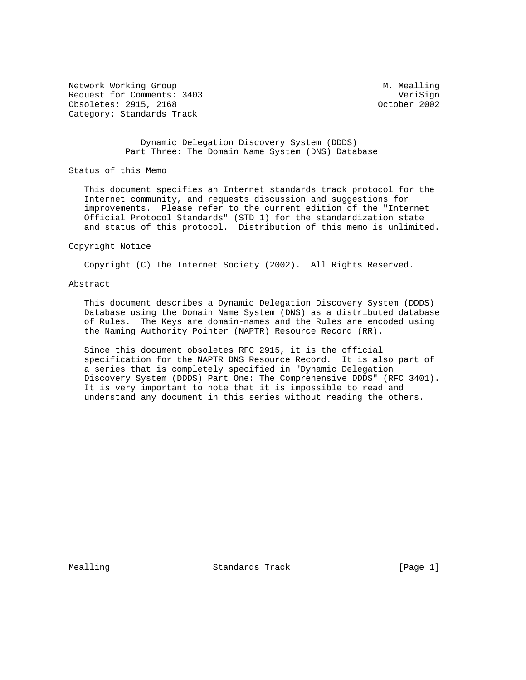Network Working Group Measure Measure M. Mealling Request for Comments: 3403 VeriSign<br>
0bsoletes: 2915, 2168 VeriSign (October 2002 Obsoletes: 2915, 2168 Category: Standards Track

 Dynamic Delegation Discovery System (DDDS) Part Three: The Domain Name System (DNS) Database

Status of this Memo

 This document specifies an Internet standards track protocol for the Internet community, and requests discussion and suggestions for improvements. Please refer to the current edition of the "Internet Official Protocol Standards" (STD 1) for the standardization state and status of this protocol. Distribution of this memo is unlimited.

#### Copyright Notice

Copyright (C) The Internet Society (2002). All Rights Reserved.

#### Abstract

 This document describes a Dynamic Delegation Discovery System (DDDS) Database using the Domain Name System (DNS) as a distributed database of Rules. The Keys are domain-names and the Rules are encoded using the Naming Authority Pointer (NAPTR) Resource Record (RR).

 Since this document obsoletes RFC 2915, it is the official specification for the NAPTR DNS Resource Record. It is also part of a series that is completely specified in "Dynamic Delegation Discovery System (DDDS) Part One: The Comprehensive DDDS" (RFC 3401). It is very important to note that it is impossible to read and understand any document in this series without reading the others.

Mealling **Standards Track** [Page 1]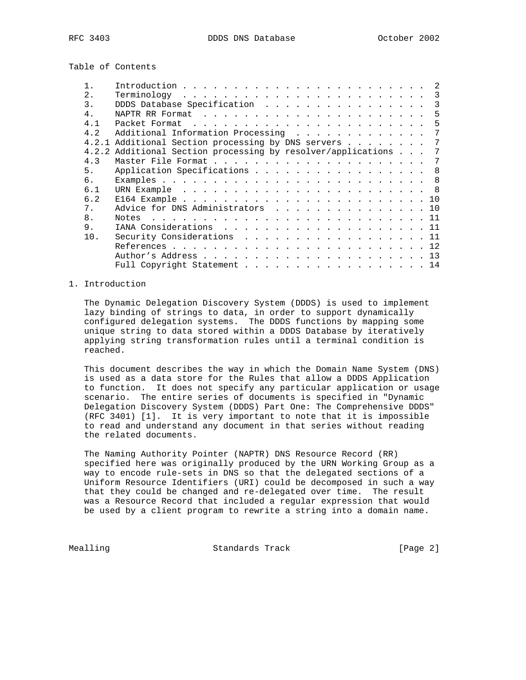Table of Contents

| 2.             | $Terminology \dots \dots \dots \dots \dots \dots \dots \dots \dots \dots \dots$ |  |  |  |  |  |  |  |  |     |
|----------------|---------------------------------------------------------------------------------|--|--|--|--|--|--|--|--|-----|
| 3.             | DDDS Database Specification                                                     |  |  |  |  |  |  |  |  | 3   |
| 4 <sub>1</sub> |                                                                                 |  |  |  |  |  |  |  |  | 5   |
| 4.1            |                                                                                 |  |  |  |  |  |  |  |  | -5  |
| 4.2            | Additional Information Processing                                               |  |  |  |  |  |  |  |  | - 7 |
|                | 4.2.1 Additional Section processing by DNS servers 7                            |  |  |  |  |  |  |  |  |     |
|                | 4.2.2 Additional Section processing by resolver/applications 7                  |  |  |  |  |  |  |  |  |     |
| 4.3            |                                                                                 |  |  |  |  |  |  |  |  | -7  |
| 5.             | Application Specifications 8                                                    |  |  |  |  |  |  |  |  |     |
| რ.             |                                                                                 |  |  |  |  |  |  |  |  |     |
| 6.1            |                                                                                 |  |  |  |  |  |  |  |  |     |
| 6.2            |                                                                                 |  |  |  |  |  |  |  |  |     |
| 7.             | Advice for DNS Administrators 10                                                |  |  |  |  |  |  |  |  |     |
| 8.             | Notes                                                                           |  |  |  |  |  |  |  |  |     |
| 9.             | IANA Considerations 11                                                          |  |  |  |  |  |  |  |  |     |
| 10.            | Security Considerations 11                                                      |  |  |  |  |  |  |  |  |     |
|                |                                                                                 |  |  |  |  |  |  |  |  |     |
|                |                                                                                 |  |  |  |  |  |  |  |  |     |
|                | Full Copyright Statement 14                                                     |  |  |  |  |  |  |  |  |     |

## 1. Introduction

 The Dynamic Delegation Discovery System (DDDS) is used to implement lazy binding of strings to data, in order to support dynamically configured delegation systems. The DDDS functions by mapping some unique string to data stored within a DDDS Database by iteratively applying string transformation rules until a terminal condition is reached.

 This document describes the way in which the Domain Name System (DNS) is used as a data store for the Rules that allow a DDDS Application to function. It does not specify any particular application or usage scenario. The entire series of documents is specified in "Dynamic Delegation Discovery System (DDDS) Part One: The Comprehensive DDDS" (RFC 3401) [1]. It is very important to note that it is impossible to read and understand any document in that series without reading the related documents.

 The Naming Authority Pointer (NAPTR) DNS Resource Record (RR) specified here was originally produced by the URN Working Group as a way to encode rule-sets in DNS so that the delegated sections of a Uniform Resource Identifiers (URI) could be decomposed in such a way that they could be changed and re-delegated over time. The result was a Resource Record that included a regular expression that would be used by a client program to rewrite a string into a domain name.

Mealling **Standards Track** [Page 2]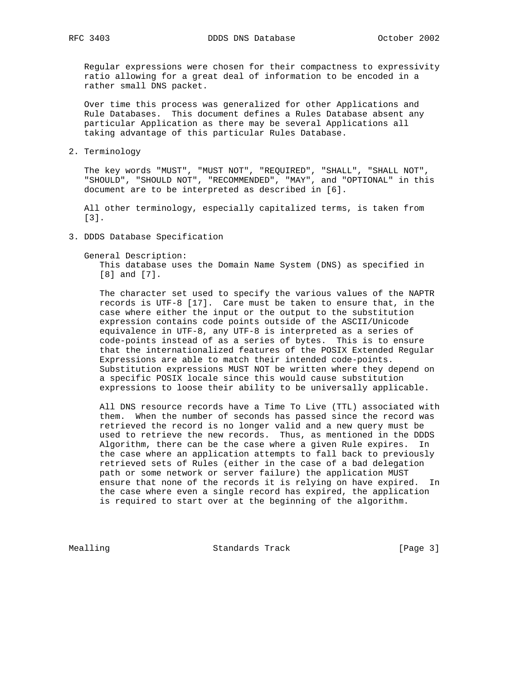Regular expressions were chosen for their compactness to expressivity ratio allowing for a great deal of information to be encoded in a rather small DNS packet.

 Over time this process was generalized for other Applications and Rule Databases. This document defines a Rules Database absent any particular Application as there may be several Applications all taking advantage of this particular Rules Database.

2. Terminology

 The key words "MUST", "MUST NOT", "REQUIRED", "SHALL", "SHALL NOT", "SHOULD", "SHOULD NOT", "RECOMMENDED", "MAY", and "OPTIONAL" in this document are to be interpreted as described in [6].

 All other terminology, especially capitalized terms, is taken from [3].

- 3. DDDS Database Specification
	- General Description:

 This database uses the Domain Name System (DNS) as specified in [8] and [7].

 The character set used to specify the various values of the NAPTR records is UTF-8 [17]. Care must be taken to ensure that, in the case where either the input or the output to the substitution expression contains code points outside of the ASCII/Unicode equivalence in UTF-8, any UTF-8 is interpreted as a series of code-points instead of as a series of bytes. This is to ensure that the internationalized features of the POSIX Extended Regular Expressions are able to match their intended code-points. Substitution expressions MUST NOT be written where they depend on a specific POSIX locale since this would cause substitution expressions to loose their ability to be universally applicable.

 All DNS resource records have a Time To Live (TTL) associated with them. When the number of seconds has passed since the record was retrieved the record is no longer valid and a new query must be used to retrieve the new records. Thus, as mentioned in the DDDS Algorithm, there can be the case where a given Rule expires. In the case where an application attempts to fall back to previously retrieved sets of Rules (either in the case of a bad delegation path or some network or server failure) the application MUST ensure that none of the records it is relying on have expired. In the case where even a single record has expired, the application is required to start over at the beginning of the algorithm.

Mealling Standards Track [Page 3]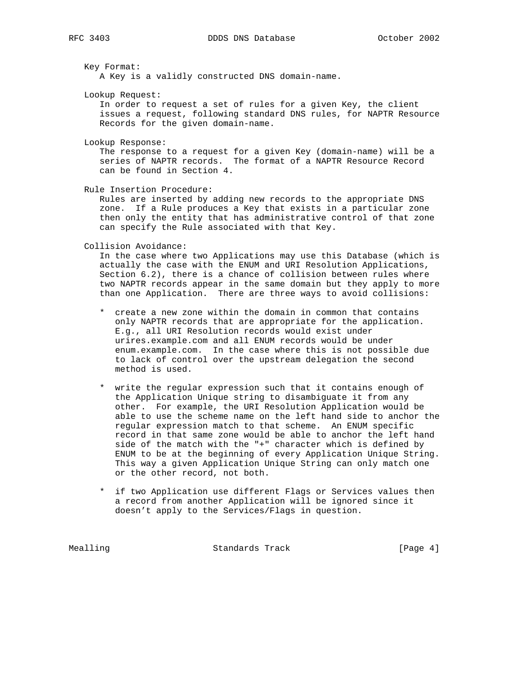Key Format:

A Key is a validly constructed DNS domain-name.

Lookup Request:

 In order to request a set of rules for a given Key, the client issues a request, following standard DNS rules, for NAPTR Resource Records for the given domain-name.

Lookup Response:

 The response to a request for a given Key (domain-name) will be a series of NAPTR records. The format of a NAPTR Resource Record can be found in Section 4.

Rule Insertion Procedure:

 Rules are inserted by adding new records to the appropriate DNS zone. If a Rule produces a Key that exists in a particular zone then only the entity that has administrative control of that zone can specify the Rule associated with that Key.

Collision Avoidance:

 In the case where two Applications may use this Database (which is actually the case with the ENUM and URI Resolution Applications, Section 6.2), there is a chance of collision between rules where two NAPTR records appear in the same domain but they apply to more than one Application. There are three ways to avoid collisions:

- \* create a new zone within the domain in common that contains only NAPTR records that are appropriate for the application. E.g., all URI Resolution records would exist under urires.example.com and all ENUM records would be under enum.example.com. In the case where this is not possible due to lack of control over the upstream delegation the second method is used.
- \* write the regular expression such that it contains enough of the Application Unique string to disambiguate it from any other. For example, the URI Resolution Application would be able to use the scheme name on the left hand side to anchor the regular expression match to that scheme. An ENUM specific record in that same zone would be able to anchor the left hand side of the match with the "+" character which is defined by ENUM to be at the beginning of every Application Unique String. This way a given Application Unique String can only match one or the other record, not both.
- \* if two Application use different Flags or Services values then a record from another Application will be ignored since it doesn't apply to the Services/Flags in question.

Mealling **Standards Track** [Page 4]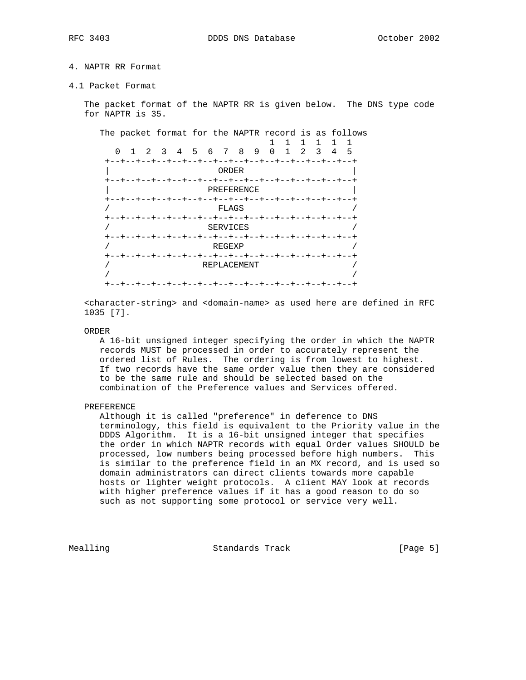# 4. NAPTR RR Format

4.1 Packet Format

 The packet format of the NAPTR RR is given below. The DNS type code for NAPTR is 35.

The packet format for the NAPTR record is as follows

 1 1 1 1 1 1 0 1 2 3 4 5 6 7 8 9 0 1 2 3 4 5 +--+--+--+--+--+--+--+--+--+--+--+--+--+--+--+--+ | ORDER | +--+--+--+--+--+--+--+--+--+--+--+--+--+--+--+--+ | PREFERENCE | +--+--+--+--+--+--+--+--+--+--+--+--+--+--+--+--+  $FLAGS$  +--+--+--+--+--+--+--+--+--+--+--+--+--+--+--+--+ SERVICES +--+--+--+--+--+--+--+--+--+--+--+--+--+--+--+--+  ${\tt REGEXP}$  +--+--+--+--+--+--+--+--+--+--+--+--+--+--+--+--+ / REPLACEMENT / / / +--+--+--+--+--+--+--+--+--+--+--+--+--+--+--+--+

 <character-string> and <domain-name> as used here are defined in RFC 1035 [7].

#### ORDER

 A 16-bit unsigned integer specifying the order in which the NAPTR records MUST be processed in order to accurately represent the ordered list of Rules. The ordering is from lowest to highest. If two records have the same order value then they are considered to be the same rule and should be selected based on the combination of the Preference values and Services offered.

## PREFERENCE

 Although it is called "preference" in deference to DNS terminology, this field is equivalent to the Priority value in the DDDS Algorithm. It is a 16-bit unsigned integer that specifies the order in which NAPTR records with equal Order values SHOULD be processed, low numbers being processed before high numbers. This is similar to the preference field in an MX record, and is used so domain administrators can direct clients towards more capable hosts or lighter weight protocols. A client MAY look at records with higher preference values if it has a good reason to do so such as not supporting some protocol or service very well.

Mealling Standards Track [Page 5]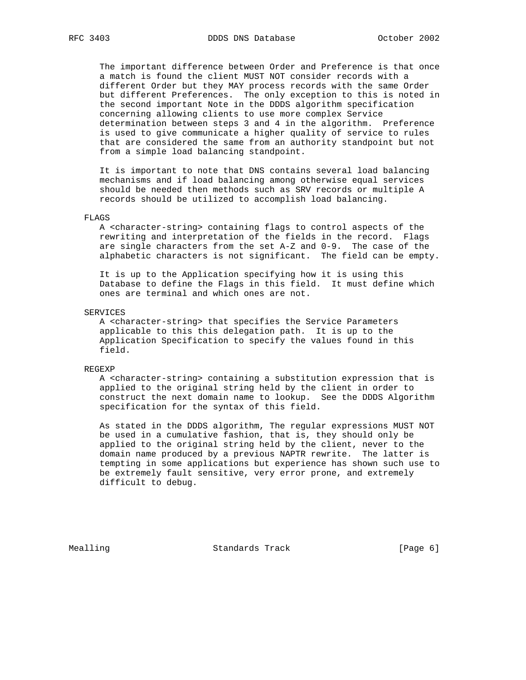The important difference between Order and Preference is that once a match is found the client MUST NOT consider records with a different Order but they MAY process records with the same Order but different Preferences. The only exception to this is noted in the second important Note in the DDDS algorithm specification concerning allowing clients to use more complex Service determination between steps 3 and 4 in the algorithm. Preference is used to give communicate a higher quality of service to rules that are considered the same from an authority standpoint but not from a simple load balancing standpoint.

 It is important to note that DNS contains several load balancing mechanisms and if load balancing among otherwise equal services should be needed then methods such as SRV records or multiple A records should be utilized to accomplish load balancing.

#### FLAGS

 A <character-string> containing flags to control aspects of the rewriting and interpretation of the fields in the record. Flags are single characters from the set A-Z and 0-9. The case of the alphabetic characters is not significant. The field can be empty.

 It is up to the Application specifying how it is using this Database to define the Flags in this field. It must define which ones are terminal and which ones are not.

SERVICES

 A <character-string> that specifies the Service Parameters applicable to this this delegation path. It is up to the Application Specification to specify the values found in this field.

REGEXP

 A <character-string> containing a substitution expression that is applied to the original string held by the client in order to construct the next domain name to lookup. See the DDDS Algorithm specification for the syntax of this field.

 As stated in the DDDS algorithm, The regular expressions MUST NOT be used in a cumulative fashion, that is, they should only be applied to the original string held by the client, never to the domain name produced by a previous NAPTR rewrite. The latter is tempting in some applications but experience has shown such use to be extremely fault sensitive, very error prone, and extremely difficult to debug.

Mealling Standards Track [Page 6]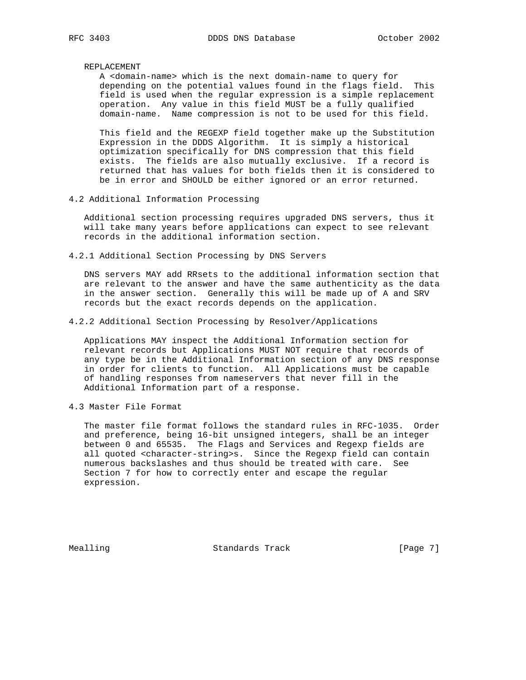## REPLACEMENT

 A <domain-name> which is the next domain-name to query for depending on the potential values found in the flags field. This field is used when the regular expression is a simple replacement operation. Any value in this field MUST be a fully qualified domain-name. Name compression is not to be used for this field.

 This field and the REGEXP field together make up the Substitution Expression in the DDDS Algorithm. It is simply a historical optimization specifically for DNS compression that this field exists. The fields are also mutually exclusive. If a record is returned that has values for both fields then it is considered to be in error and SHOULD be either ignored or an error returned.

4.2 Additional Information Processing

 Additional section processing requires upgraded DNS servers, thus it will take many years before applications can expect to see relevant records in the additional information section.

4.2.1 Additional Section Processing by DNS Servers

 DNS servers MAY add RRsets to the additional information section that are relevant to the answer and have the same authenticity as the data in the answer section. Generally this will be made up of A and SRV records but the exact records depends on the application.

4.2.2 Additional Section Processing by Resolver/Applications

 Applications MAY inspect the Additional Information section for relevant records but Applications MUST NOT require that records of any type be in the Additional Information section of any DNS response in order for clients to function. All Applications must be capable of handling responses from nameservers that never fill in the Additional Information part of a response.

4.3 Master File Format

 The master file format follows the standard rules in RFC-1035. Order and preference, being 16-bit unsigned integers, shall be an integer between 0 and 65535. The Flags and Services and Regexp fields are all quoted <character-string>s. Since the Regexp field can contain numerous backslashes and thus should be treated with care. See Section 7 for how to correctly enter and escape the regular expression.

Mealling Standards Track [Page 7]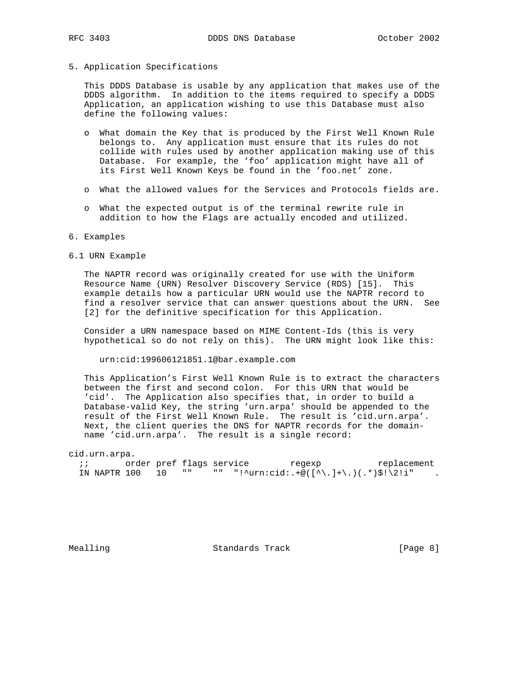#### 5. Application Specifications

 This DDDS Database is usable by any application that makes use of the DDDS algorithm. In addition to the items required to specify a DDDS Application, an application wishing to use this Database must also define the following values:

- o What domain the Key that is produced by the First Well Known Rule belongs to. Any application must ensure that its rules do not collide with rules used by another application making use of this Database. For example, the 'foo' application might have all of its First Well Known Keys be found in the 'foo.net' zone.
- o What the allowed values for the Services and Protocols fields are.
- o What the expected output is of the terminal rewrite rule in addition to how the Flags are actually encoded and utilized.

#### 6. Examples

6.1 URN Example

 The NAPTR record was originally created for use with the Uniform Resource Name (URN) Resolver Discovery Service (RDS) [15]. This example details how a particular URN would use the NAPTR record to find a resolver service that can answer questions about the URN. See [2] for the definitive specification for this Application.

 Consider a URN namespace based on MIME Content-Ids (this is very hypothetical so do not rely on this). The URN might look like this:

urn:cid:199606121851.1@bar.example.com

 This Application's First Well Known Rule is to extract the characters between the first and second colon. For this URN that would be 'cid'. The Application also specifies that, in order to build a Database-valid Key, the string 'urn.arpa' should be appended to the result of the First Well Known Rule. The result is 'cid.urn.arpa'. Next, the client queries the DNS for NAPTR records for the domain name 'cid.urn.arpa'. The result is a single record:

#### cid.urn.arpa.

;; discriment order pref flags service the regexp replacement IN NAPTR 100 10 "" "" "!^urn:cid:.+@([^\.]+\.)(.\*)\$!\2!i" .

Mealling Standards Track [Page 8]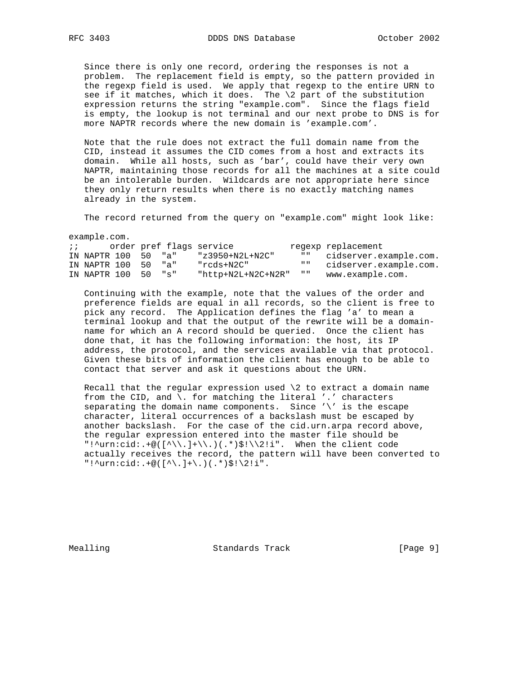Since there is only one record, ordering the responses is not a problem. The replacement field is empty, so the pattern provided in the regexp field is used. We apply that regexp to the entire URN to see if it matches, which it does. The  $\lambda$  part of the substitution expression returns the string "example.com". Since the flags field is empty, the lookup is not terminal and our next probe to DNS is for more NAPTR records where the new domain is 'example.com'.

 Note that the rule does not extract the full domain name from the CID, instead it assumes the CID comes from a host and extracts its domain. While all hosts, such as 'bar', could have their very own NAPTR, maintaining those records for all the machines at a site could be an intolerable burden. Wildcards are not appropriate here since they only return results when there is no exactly matching names already in the system.

The record returned from the query on "example.com" might look like:

example.com.

| $\mathbf{i}$ $\mathbf{j}$ |                     |  | order pref flags service |                           | regexp replacement        |
|---------------------------|---------------------|--|--------------------------|---------------------------|---------------------------|
|                           | IN NAPTR 100 50 "a" |  | "z3950+N2L+N2C"          |                           | "" cidserver.example.com. |
|                           | IN NAPTR 100 50 "a" |  | "rcds+N2C"               | $\mathbf{H}$ $\mathbf{H}$ | cidserver.example.com.    |
|                           | IN NAPTR 100 50 "s" |  | "http+N2L+N2C+N2R"       | $\mathbf{H}$ and          | www.example.com.          |

 Continuing with the example, note that the values of the order and preference fields are equal in all records, so the client is free to pick any record. The Application defines the flag 'a' to mean a terminal lookup and that the output of the rewrite will be a domain name for which an A record should be queried. Once the client has done that, it has the following information: the host, its IP address, the protocol, and the services available via that protocol. Given these bits of information the client has enough to be able to contact that server and ask it questions about the URN.

Recall that the regular expression used  $\2$  to extract a domain name from the CID, and \. for matching the literal '.' characters separating the domain name components. Since '\' is the escape character, literal occurrences of a backslash must be escaped by another backslash. For the case of the cid.urn.arpa record above, the regular expression entered into the master file should be "!^urn:cid:.+@([^\\.]+\\.)(.\*)\$!\\2!i". When the client code actually receives the record, the pattern will have been converted to "!^urn:cid:.+@( $[\wedge\ldots]+\wedge$ .)(.\*)\$!\2!i".

Mealling Standards Track [Page 9]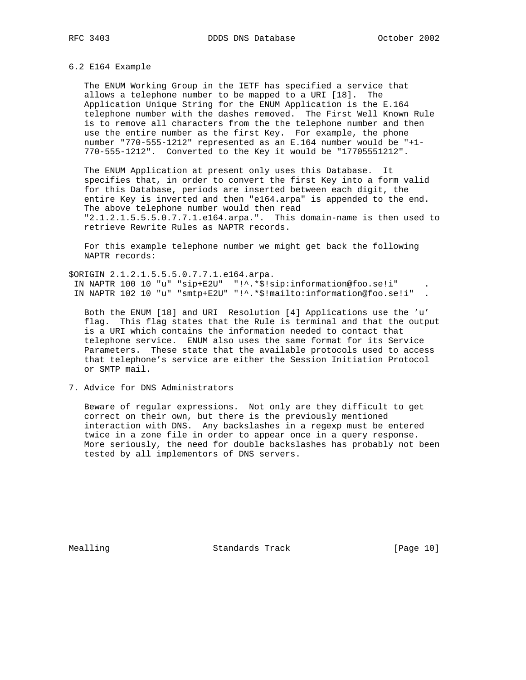## 6.2 E164 Example

 The ENUM Working Group in the IETF has specified a service that allows a telephone number to be mapped to a URI [18]. The Application Unique String for the ENUM Application is the E.164 telephone number with the dashes removed. The First Well Known Rule is to remove all characters from the the telephone number and then use the entire number as the first Key. For example, the phone number "770-555-1212" represented as an E.164 number would be "+1- 770-555-1212". Converted to the Key it would be "17705551212".

 The ENUM Application at present only uses this Database. It specifies that, in order to convert the first Key into a form valid for this Database, periods are inserted between each digit, the entire Key is inverted and then "e164.arpa" is appended to the end. The above telephone number would then read "2.1.2.1.5.5.5.0.7.7.1.e164.arpa.". This domain-name is then used to retrieve Rewrite Rules as NAPTR records.

 For this example telephone number we might get back the following NAPTR records:

\$ORIGIN 2.1.2.1.5.5.5.0.7.7.1.e164.arpa. IN NAPTR 100 10 "u" "sip+E2U" "!^.\*\$!sip:information@foo.se!i" . IN NAPTR 102 10 "u" "smtp+E2U" "!^.\*\$!mailto:information@foo.se!i" .

 Both the ENUM [18] and URI Resolution [4] Applications use the 'u' flag. This flag states that the Rule is terminal and that the output is a URI which contains the information needed to contact that telephone service. ENUM also uses the same format for its Service Parameters. These state that the available protocols used to access that telephone's service are either the Session Initiation Protocol or SMTP mail.

7. Advice for DNS Administrators

 Beware of regular expressions. Not only are they difficult to get correct on their own, but there is the previously mentioned interaction with DNS. Any backslashes in a regexp must be entered twice in a zone file in order to appear once in a query response. More seriously, the need for double backslashes has probably not been tested by all implementors of DNS servers.

Mealling Standards Track [Page 10]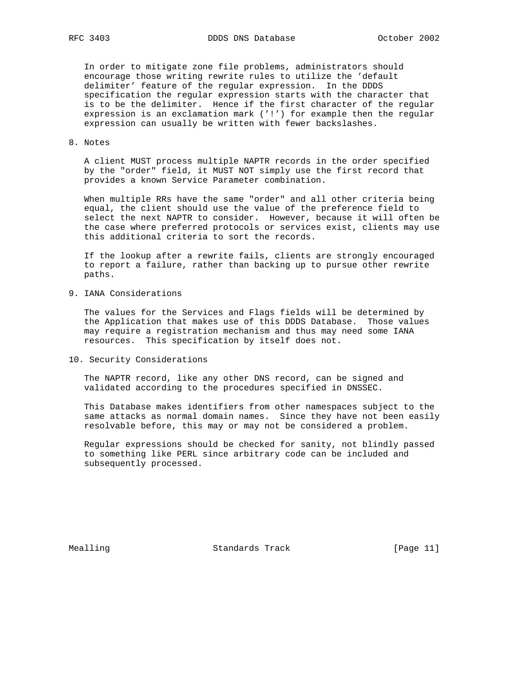In order to mitigate zone file problems, administrators should encourage those writing rewrite rules to utilize the 'default delimiter' feature of the regular expression. In the DDDS specification the regular expression starts with the character that is to be the delimiter. Hence if the first character of the regular expression is an exclamation mark ('!') for example then the regular expression can usually be written with fewer backslashes.

## 8. Notes

 A client MUST process multiple NAPTR records in the order specified by the "order" field, it MUST NOT simply use the first record that provides a known Service Parameter combination.

 When multiple RRs have the same "order" and all other criteria being equal, the client should use the value of the preference field to select the next NAPTR to consider. However, because it will often be the case where preferred protocols or services exist, clients may use this additional criteria to sort the records.

 If the lookup after a rewrite fails, clients are strongly encouraged to report a failure, rather than backing up to pursue other rewrite paths.

9. IANA Considerations

 The values for the Services and Flags fields will be determined by the Application that makes use of this DDDS Database. Those values may require a registration mechanism and thus may need some IANA resources. This specification by itself does not.

10. Security Considerations

 The NAPTR record, like any other DNS record, can be signed and validated according to the procedures specified in DNSSEC.

 This Database makes identifiers from other namespaces subject to the same attacks as normal domain names. Since they have not been easily resolvable before, this may or may not be considered a problem.

 Regular expressions should be checked for sanity, not blindly passed to something like PERL since arbitrary code can be included and subsequently processed.

Mealling Standards Track [Page 11]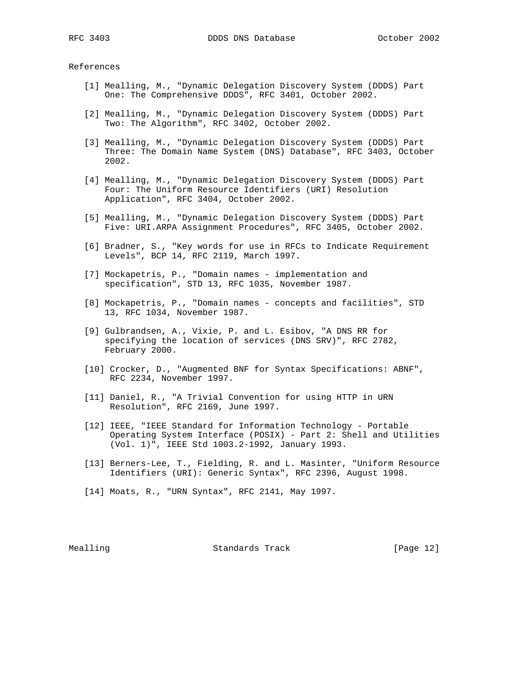References

- [1] Mealling, M., "Dynamic Delegation Discovery System (DDDS) Part One: The Comprehensive DDDS", RFC 3401, October 2002.
- [2] Mealling, M., "Dynamic Delegation Discovery System (DDDS) Part Two: The Algorithm", RFC 3402, October 2002.
- [3] Mealling, M., "Dynamic Delegation Discovery System (DDDS) Part Three: The Domain Name System (DNS) Database", RFC 3403, October 2002.
- [4] Mealling, M., "Dynamic Delegation Discovery System (DDDS) Part Four: The Uniform Resource Identifiers (URI) Resolution Application", RFC 3404, October 2002.
- [5] Mealling, M., "Dynamic Delegation Discovery System (DDDS) Part Five: URI.ARPA Assignment Procedures", RFC 3405, October 2002.
- [6] Bradner, S., "Key words for use in RFCs to Indicate Requirement Levels", BCP 14, RFC 2119, March 1997.
- [7] Mockapetris, P., "Domain names implementation and specification", STD 13, RFC 1035, November 1987.
- [8] Mockapetris, P., "Domain names concepts and facilities", STD 13, RFC 1034, November 1987.
- [9] Gulbrandsen, A., Vixie, P. and L. Esibov, "A DNS RR for specifying the location of services (DNS SRV)", RFC 2782, February 2000.
- [10] Crocker, D., "Augmented BNF for Syntax Specifications: ABNF", RFC 2234, November 1997.
- [11] Daniel, R., "A Trivial Convention for using HTTP in URN Resolution", RFC 2169, June 1997.
- [12] IEEE, "IEEE Standard for Information Technology Portable Operating System Interface (POSIX) - Part 2: Shell and Utilities (Vol. 1)", IEEE Std 1003.2-1992, January 1993.
- [13] Berners-Lee, T., Fielding, R. and L. Masinter, "Uniform Resource Identifiers (URI): Generic Syntax", RFC 2396, August 1998.
- [14] Moats, R., "URN Syntax", RFC 2141, May 1997.

Mealling Standards Track [Page 12]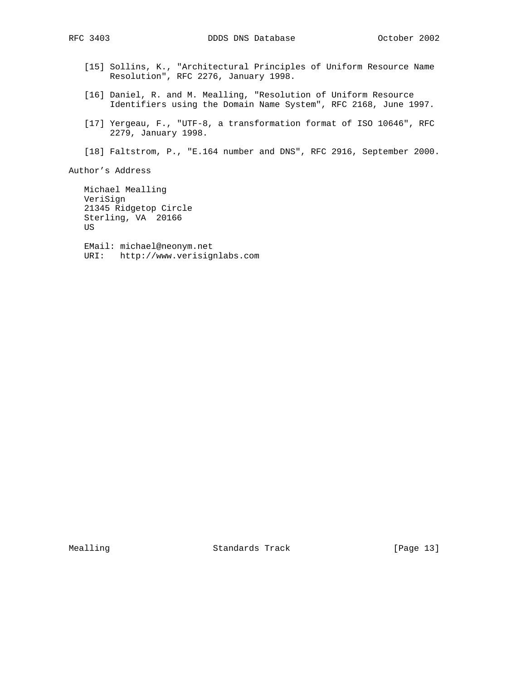- [15] Sollins, K., "Architectural Principles of Uniform Resource Name Resolution", RFC 2276, January 1998.
- [16] Daniel, R. and M. Mealling, "Resolution of Uniform Resource Identifiers using the Domain Name System", RFC 2168, June 1997.
- [17] Yergeau, F., "UTF-8, a transformation format of ISO 10646", RFC 2279, January 1998.
- [18] Faltstrom, P., "E.164 number and DNS", RFC 2916, September 2000.

Author's Address

 Michael Mealling VeriSign 21345 Ridgetop Circle Sterling, VA 20166 US EMail: michael@neonym.net URI: http://www.verisignlabs.com

Mealling Standards Track [Page 13]